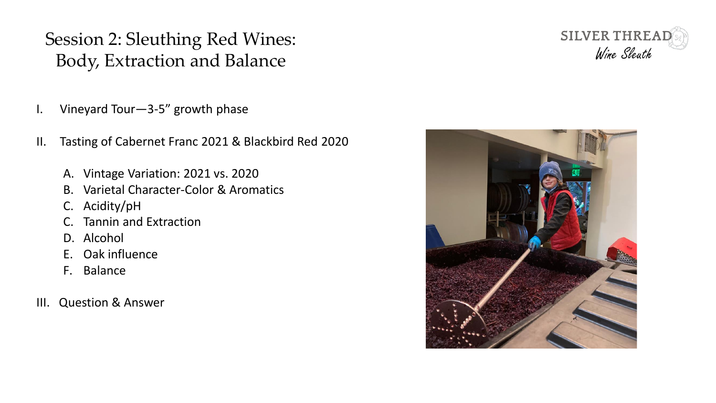- I. Vineyard Tour—3-5" growth phase
- II. Tasting of Cabernet Franc 2021 & Blackbird Red 2020
	- A. Vintage Variation: 2021 vs. 2020
	- B. Varietal Character-Color & Aromatics
	- C. Acidity/pH
	- C. Tannin and Extraction
	- D. Alcohol
	- E. Oak influence
	- F. Balance
- III. Question & Answer



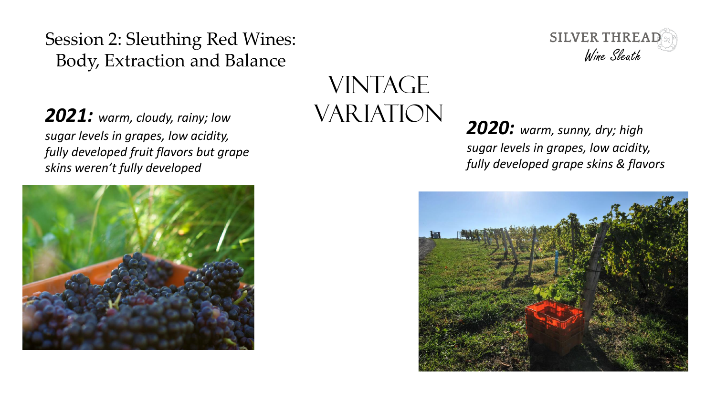$2021$ : warm, cloudy, rainy; low  $VARIATION$ *sugar levels in grapes, low acidity, fully developed fruit flavors but grape skins weren't fully developed*



# **VINTAGE**



*2020: warm, sunny, dry; high sugar levels in grapes, low acidity, fully developed grape skins & flavors*

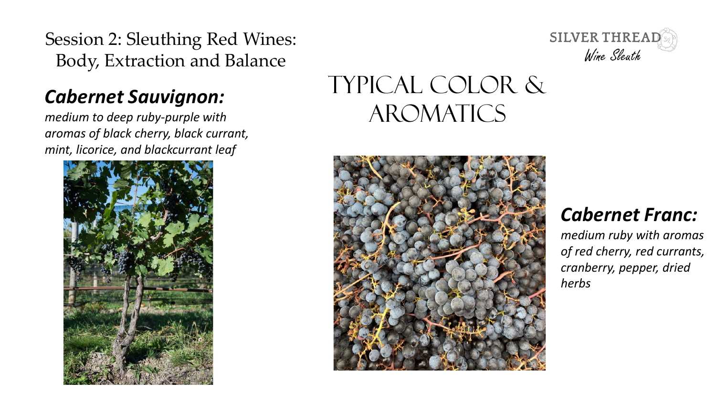#### *Cabernet Sauvignon:*

*medium to deep ruby-purple with aromas of black cherry, black currant, mint, licorice, and blackcurrant leaf*





## Typical COLOR & **AROMATICS**



#### *Cabernet Franc:*

*medium ruby with aromas of red cherry, red currants, cranberry, pepper, dried herbs*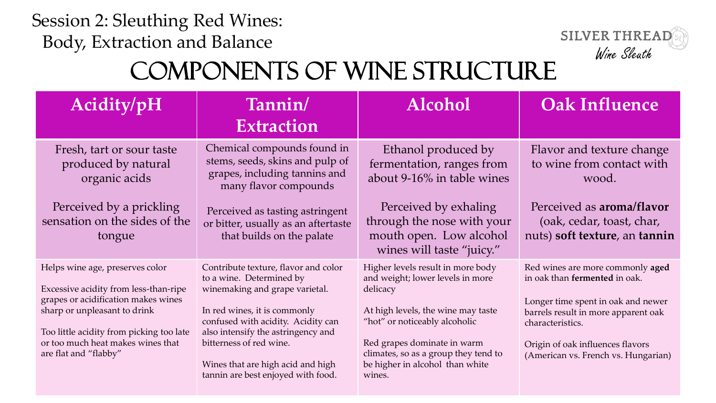

# Components of Wine Structure

| Acidity/pH                                                                                                                                                                                                                                                | Tannin/<br><b>Extraction</b>                                                                                                                                                                                                                                                                                         | <b>Alcohol</b>                                                                                                                                                                                                                                                               | <b>Oak Influence</b>                                                                                                                                                                                                                          |
|-----------------------------------------------------------------------------------------------------------------------------------------------------------------------------------------------------------------------------------------------------------|----------------------------------------------------------------------------------------------------------------------------------------------------------------------------------------------------------------------------------------------------------------------------------------------------------------------|------------------------------------------------------------------------------------------------------------------------------------------------------------------------------------------------------------------------------------------------------------------------------|-----------------------------------------------------------------------------------------------------------------------------------------------------------------------------------------------------------------------------------------------|
| Fresh, tart or sour taste<br>produced by natural<br>organic acids                                                                                                                                                                                         | Chemical compounds found in<br>stems, seeds, skins and pulp of<br>grapes, including tannins and<br>many flavor compounds                                                                                                                                                                                             | Ethanol produced by<br>fermentation, ranges from<br>about 9-16% in table wines                                                                                                                                                                                               | Flavor and texture change<br>to wine from contact with<br>wood.                                                                                                                                                                               |
| Perceived by a prickling<br>sensation on the sides of the<br>tongue                                                                                                                                                                                       | Perceived as tasting astringent<br>or bitter, usually as an aftertaste<br>that builds on the palate                                                                                                                                                                                                                  | Perceived by exhaling<br>through the nose with your<br>mouth open. Low alcohol<br>wines will taste "juicy."                                                                                                                                                                  | Perceived as <b>aroma/flavor</b><br>(oak, cedar, toast, char,<br>nuts) soft texture, an tannin                                                                                                                                                |
| Helps wine age, preserves color<br>Excessive acidity from less-than-ripe<br>grapes or acidification makes wines<br>sharp or unpleasant to drink<br>Too little acidity from picking too late<br>or too much heat makes wines that<br>are flat and "flabby" | Contribute texture, flavor and color<br>to a wine. Determined by<br>winemaking and grape varietal.<br>In red wines, it is commonly<br>confused with acidity. Acidity can<br>also intensify the astringency and<br>bitterness of red wine.<br>Wines that are high acid and high<br>tannin are best enjoyed with food. | Higher levels result in more body<br>and weight; lower levels in more<br>delicacy<br>At high levels, the wine may taste<br>"hot" or noticeably alcoholic<br>Red grapes dominate in warm<br>climates, so as a group they tend to<br>be higher in alcohol than white<br>wines. | Red wines are more commonly aged<br>in oak than fermented in oak.<br>Longer time spent in oak and newer<br>barrels result in more apparent oak<br>characteristics.<br>Origin of oak influences flavors<br>(American vs. French vs. Hungarian) |